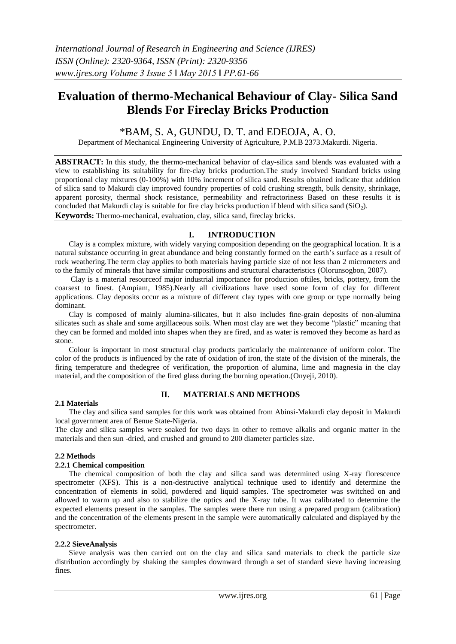# **Evaluation of thermo-Mechanical Behaviour of Clay- Silica Sand Blends For Fireclay Bricks Production**

\*BAM, S. A, GUNDU, D. T. and EDEOJA, A. O.

Department of Mechanical Engineering University of Agriculture, P.M.B 2373.Makurdi. Nigeria.

**ABSTRACT:** In this study, the thermo-mechanical behavior of clay-silica sand blends was evaluated with a view to establishing its suitability for fire-clay bricks production.The study involved Standard bricks using proportional clay mixtures (0-100%) with 10% increment of silica sand. Results obtained indicate that addition of silica sand to Makurdi clay improved foundry properties of cold crushing strength, bulk density, shrinkage, apparent porosity, thermal shock resistance, permeability and refractoriness Based on these results it is concluded that Makurdi clay is suitable for fire clay bricks production if blend with silica sand  $(SiO<sub>2</sub>)$ . **Keywords:** Thermo-mechanical, evaluation, clay, silica sand, fireclay bricks.

# **I. INTRODUCTION**

Clay is a complex mixture, with widely varying composition depending on the geographical location. It is a natural substance occurring in great abundance and being constantly formed on the earth's surface as a result of rock weathering.The term clay applies to both materials having particle size of not less than 2 micrometers and to the family of minerals that have similar compositions and structural characteristics (Olorunsogbon, 2007).

Clay is a material resourceof major industrial importance for production oftiles, bricks, pottery, from the coarsest to finest. (Ampiam, 1985).Nearly all civilizations have used some form of clay for different applications. Clay deposits occur as a mixture of different clay types with one group or type normally being dominant.

Clay is composed of mainly alumina-silicates, but it also includes fine-grain deposits of non-alumina silicates such as shale and some argillaceous soils. When most clay are wet they become "plastic" meaning that they can be formed and molded into shapes when they are fired, and as water is removed they become as hard as stone.

Colour is important in most structural clay products particularly the maintenance of uniform color. The color of the products is influenced by the rate of oxidation of iron, the state of the division of the minerals, the firing temperature and thedegree of verification, the proportion of alumina, lime and magnesia in the clay material, and the composition of the fired glass during the burning operation. (Onyeji, 2010).

# **2.1 Materials**

# **II. MATERIALS AND METHODS**

The clay and silica sand samples for this work was obtained from Abinsi-Makurdi clay deposit in Makurdi local government area of Benue State-Nigeria.

The clay and silica samples were soaked for two days in other to remove alkalis and organic matter in the materials and then sun -dried, and crushed and ground to 200 diameter particles size.

## **2.2 Methods**

# **2.2.1 Chemical composition**

The chemical composition of both the clay and silica sand was determined using X-ray florescence spectrometer (XFS). This is a non-destructive analytical technique used to identify and determine the concentration of elements in solid, powdered and liquid samples. The spectrometer was switched on and allowed to warm up and also to stabilize the optics and the X-ray tube. It was calibrated to determine the expected elements present in the samples. The samples were there run using a prepared program (calibration) and the concentration of the elements present in the sample were automatically calculated and displayed by the spectrometer.

## **2.2.2 SieveAnalysis**

Sieve analysis was then carried out on the clay and silica sand materials to check the particle size distribution accordingly by shaking the samples downward through a set of standard sieve having increasing fines.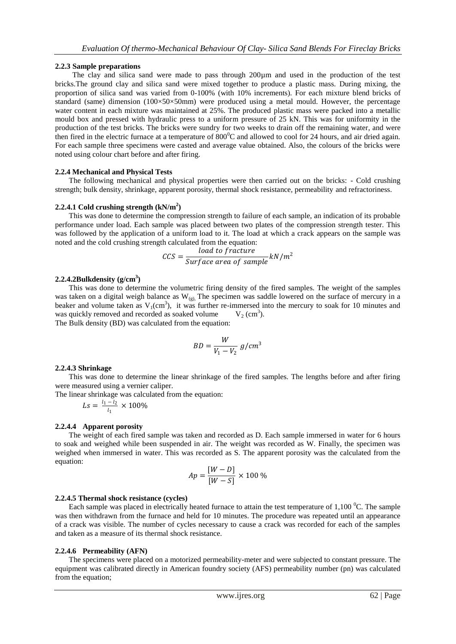## **2.2.3 Sample preparations**

The clay and silica sand were made to pass through 200 um and used in the production of the test bricks.The ground clay and silica sand were mixed together to produce a plastic mass. During mixing, the proportion of silica sand was varied from 0-100% (with 10% increments). For each mixture blend bricks of standard (same) dimension (100×50×50mm) were produced using a metal mould. However, the percentage water content in each mixture was maintained at 25%. The produced plastic mass were packed into a metallic mould box and pressed with hydraulic press to a uniform pressure of 25 kN. This was for uniformity in the production of the test bricks. The bricks were sundry for two weeks to drain off the remaining water, and were then fired in the electric furnace at a temperature of  $800^{\circ}$ C and allowed to cool for 24 hours, and air dried again. For each sample three specimens were casted and average value obtained. Also, the colours of the bricks were noted using colour chart before and after firing.

## **2.2.4 Mechanical and Physical Tests**

The following mechanical and physical properties were then carried out on the bricks: - Cold crushing strength; bulk density, shrinkage, apparent porosity, thermal shock resistance, permeability and refractoriness.

## **2.2.4.1 Cold crushing strength (kN/m<sup>2</sup> )**

This was done to determine the compression strength to failure of each sample, an indication of its probable performance under load. Each sample was placed between two plates of the compression strength tester. This was followed by the application of a uniform load to it. The load at which a crack appears on the sample was noted and the cold crushing strength calculated from the equation:

$$
CCS = \frac{load\ to\ fracture}{Surface\ area\ of\ sample} kN/m^2
$$

## **2.2.4.2Bulkdensity (g/cm<sup>3</sup> )**

This was done to determine the volumetric firing density of the fired samples. The weight of the samples was taken on a digital weigh balance as  $W_{(g)}$ , The specimen was saddle lowered on the surface of mercury in a beaker and volume taken as  $V_1$ (cm<sup>3</sup>), it was further re-immersed into the mercury to soak for 10 minutes and was quickly removed and recorded as soaked volume  $V_2$  (cm<sup>3</sup>).

The Bulk density (BD) was calculated from the equation:

$$
BD = \frac{W}{V_1 - V_2} g/cm^3
$$

## **2.2.4.3 Shrinkage**

This was done to determine the linear shrinkage of the fired samples. The lengths before and after firing were measured using a vernier caliper.

The linear shrinkage was calculated from the equation:

$$
Ls = \frac{l_1 - l_2}{l_1} \times 100\%
$$

## **2.2.4.4 Apparent porosity**

The weight of each fired sample was taken and recorded as D. Each sample immersed in water for 6 hours to soak and weighed while been suspended in air. The weight was recorded as W. Finally, the specimen was weighed when immersed in water. This was recorded as S. The apparent porosity was the calculated from the equation:

$$
Ap = \frac{[W - D]}{[W - S]} \times 100\%
$$

## **2.2.4.5 Thermal shock resistance (cycles)**

Each sample was placed in electrically heated furnace to attain the test temperature of  $1,100\,^0C$ . The sample was then withdrawn from the furnace and held for 10 minutes. The procedure was repeated until an appearance of a crack was visible. The number of cycles necessary to cause a crack was recorded for each of the samples and taken as a measure of its thermal shock resistance.

## **2.2.4.6 Permeability (AFN)**

The specimens were placed on a motorized permeability-meter and were subjected to constant pressure. The equipment was calibrated directly in American foundry society (AFS) permeability number (pn) was calculated from the equation;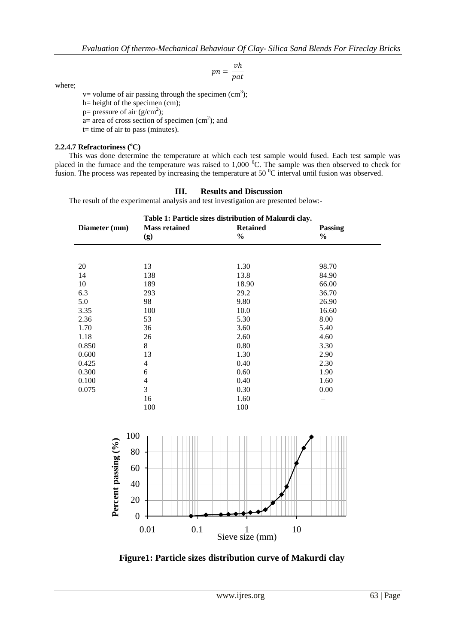$$
pn = \frac{vh}{pat}
$$

where;

 $v=$  volume of air passing through the specimen (cm<sup>3</sup>);

- h= height of the specimen (cm);
- p= pressure of air  $(g/cm<sup>2</sup>)$ ;
- $a=$  area of cross section of specimen (cm<sup>2</sup>); and
- t= time of air to pass (minutes).

# **2.2.4.7 Refractoriness (<sup>o</sup>C)**

This was done determine the temperature at which each test sample would fused. Each test sample was placed in the furnace and the temperature was raised to  $1,000\degree$ C. The sample was then observed to check for fusion. The process was repeated by increasing the temperature at 50 <sup>0</sup>C interval until fusion was observed.

# **III. Results and Discussion**

The result of the experimental analysis and test investigation are presented below:-

| Table 1: Particle sizes distribution of Makurdi clay. |                      |                 |                |  |  |  |
|-------------------------------------------------------|----------------------|-----------------|----------------|--|--|--|
| Diameter (mm)                                         | <b>Mass retained</b> | <b>Retained</b> | <b>Passing</b> |  |  |  |
|                                                       | (g)                  | $\frac{6}{6}$   | $\frac{6}{9}$  |  |  |  |
|                                                       |                      |                 |                |  |  |  |
| 20                                                    | 13                   | 1.30            | 98.70          |  |  |  |
| 14                                                    | 138                  | 13.8            | 84.90          |  |  |  |
| 10                                                    | 189                  | 18.90           | 66.00          |  |  |  |
| 6.3                                                   | 293                  | 29.2            | 36.70          |  |  |  |
| 5.0                                                   | 98                   | 9.80            | 26.90          |  |  |  |
| 3.35                                                  | 100                  | 10.0            | 16.60          |  |  |  |
| 2.36                                                  | 53                   | 5.30            | 8.00           |  |  |  |
| 1.70                                                  | 36                   | 3.60            | 5.40           |  |  |  |
| 1.18                                                  | 26                   | 2.60            | 4.60           |  |  |  |
| 0.850                                                 | 8                    | 0.80            | 3.30           |  |  |  |
| 0.600                                                 | 13                   | 1.30            | 2.90           |  |  |  |
| 0.425                                                 | 4                    | 0.40            | 2.30           |  |  |  |
| 0.300                                                 | 6                    | 0.60            | 1.90           |  |  |  |
| 0.100                                                 | 4                    | 0.40            | 1.60           |  |  |  |
| 0.075                                                 | 3                    | 0.30            | 0.00           |  |  |  |
|                                                       | 16                   | 1.60            |                |  |  |  |
|                                                       | 100                  | 100             |                |  |  |  |



**Figure1: Particle sizes distribution curve of Makurdi clay**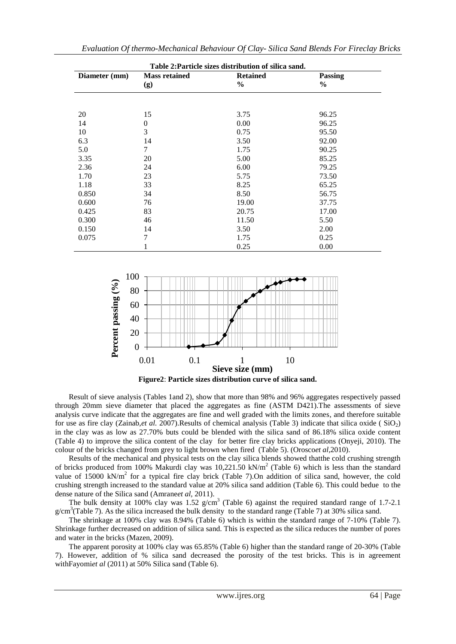| Table 2: Particle sizes distribution of silica sand. |                |               |                |  |  |
|------------------------------------------------------|----------------|---------------|----------------|--|--|
| Diameter (mm)                                        | <b>Passing</b> |               |                |  |  |
|                                                      | (g)            | $\frac{6}{6}$ | $\frac{6}{10}$ |  |  |
|                                                      |                |               |                |  |  |
|                                                      |                |               |                |  |  |
| 20                                                   | 15             | 3.75          | 96.25          |  |  |
| 14                                                   | $\mathbf{0}$   | 0.00          | 96.25          |  |  |
| 10                                                   | 3              | 0.75          | 95.50          |  |  |
| 6.3                                                  | 14             | 3.50          | 92.00          |  |  |
| 5.0                                                  | 7              | 1.75          | 90.25          |  |  |
| 3.35                                                 | 20             | 5.00          | 85.25          |  |  |
| 2.36                                                 | 24             | 6.00          | 79.25          |  |  |
| 1.70                                                 | 23             | 5.75          | 73.50          |  |  |
| 1.18                                                 | 33             | 8.25          | 65.25          |  |  |
| 0.850                                                | 34             | 8.50          | 56.75          |  |  |
| 0.600                                                | 76             | 19.00         | 37.75          |  |  |
| 0.425                                                | 83             | 20.75         | 17.00          |  |  |
| 0.300                                                | 46             | 11.50         | 5.50           |  |  |
| 0.150                                                | 14             | 3.50          | 2.00           |  |  |
| 0.075                                                | 7              | 1.75          | 0.25           |  |  |
|                                                      | 1              | 0.25          | 0.00           |  |  |



Result of sieve analysis (Tables 1and 2), show that more than 98% and 96% aggregates respectively passed through 20mm sieve diameter that placed the aggregates as fine (ASTM D421).The assessments of sieve analysis curve indicate that the aggregates are fine and well graded with the limits zones, and therefore suitable for use as fire clay (Zainab,*et al.* 2007).Results of chemical analysis (Table 3) indicate that silica oxide ( $SiO<sub>2</sub>$ ) in the clay was as low as 27.70% buts could be blended with the silica sand of 86.18% silica oxide content (Table 4) to improve the silica content of the clay for better fire clay bricks applications (Onyeji, 2010). The colour of the bricks changed from grey to light brown when fired (Table 5). (Orosco*et al,*2010).

Results of the mechanical and physical tests on the clay silica blends showed thatthe cold crushing strength of bricks produced from 100% Makurdi clay was  $10,221.50 \text{ kN/m}^2$  (Table 6) which is less than the standard value of 15000 kN/m<sup>2</sup> for a typical fire clay brick (Table 7). On addition of silica sand, however, the cold crushing strength increased to the standard value at 20% silica sand addition (Table 6). This could bedue to the dense nature of the Silica sand (Amrane*et al,* 2011).

The bulk density at 100% clay was 1.52  $g/cm<sup>3</sup>$  (Table 6) against the required standard range of 1.7-2.1 g/cm<sup>3</sup>(Table 7). As the silica increased the bulk density to the standard range (Table 7) at 30% silica sand.

The shrinkage at 100% clay was 8.94% (Table 6) which is within the standard range of 7-10% (Table 7). Shrinkage further decreased on addition of silica sand. This is expected as the silica reduces the number of pores and water in the bricks (Mazen, 2009).

The apparent porosity at 100% clay was 65.85% (Table 6) higher than the standard range of 20-30% (Table 7). However, addition of % silica sand decreased the porosity of the test bricks. This is in agreement withFayomi*et al* (2011) at 50% Silica sand (Table 6).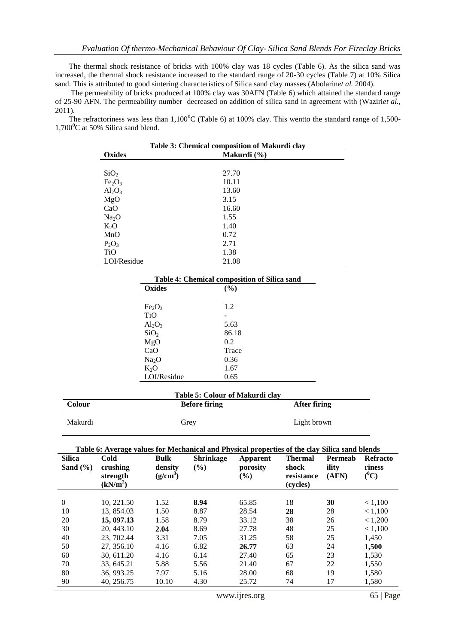The thermal shock resistance of bricks with 100% clay was 18 cycles (Table 6). As the silica sand was increased, the thermal shock resistance increased to the standard range of 20-30 cycles (Table 7) at 10% Silica sand. This is attributed to good sintering characteristics of Silica sand clay masses (Abolarin*et al.* 2004).

The permeability of bricks produced at 100% clay was 30AFN (Table 6) which attained the standard range of 25-90 AFN. The permeability number decreased on addition of silica sand in agreement with (Waziri*et al.,* 2011).

The refractoriness was less than  $1,100^0C$  (Table 6) at 100% clay. This wentto the standard range of 1,500- $1,700^{\circ}$ C at 50% Silica sand blend.

| Table 3: Chemical composition of Makurdi clay |             |  |  |  |
|-----------------------------------------------|-------------|--|--|--|
| Oxides                                        | Makurdi (%) |  |  |  |
|                                               |             |  |  |  |
| SiO <sub>2</sub>                              | 27.70       |  |  |  |
| Fe <sub>2</sub> O <sub>3</sub>                | 10.11       |  |  |  |
| $Al_2O_3$                                     | 13.60       |  |  |  |
| MgO                                           | 3.15        |  |  |  |
| CaO                                           | 16.60       |  |  |  |
| Na <sub>2</sub> O                             | 1.55        |  |  |  |
| $K_2O$                                        | 1.40        |  |  |  |
| MnO                                           | 0.72        |  |  |  |
| $P_2O_3$                                      | 2.71        |  |  |  |
| <b>TiO</b>                                    | 1.38        |  |  |  |
| LOI/Residue                                   | 21.08       |  |  |  |

| Table 4: Chemical composition of Silica sand |        |  |  |  |
|----------------------------------------------|--------|--|--|--|
| Oxides                                       | $(\%)$ |  |  |  |
|                                              |        |  |  |  |
| Fe <sub>2</sub> O <sub>3</sub>               | 1.2    |  |  |  |
| <b>TiO</b>                                   |        |  |  |  |
| $Al_2O_3$                                    | 5.63   |  |  |  |
| SiO <sub>2</sub>                             | 86.18  |  |  |  |
| MgO                                          | 0.2    |  |  |  |
| CaO                                          | Trace  |  |  |  |
| Na <sub>2</sub> O                            | 0.36   |  |  |  |
| $K_2O$                                       | 1.67   |  |  |  |
| LOI/Residue                                  | 0.65   |  |  |  |

| Table 5: Colour of Makurdi clay |                      |              |  |  |
|---------------------------------|----------------------|--------------|--|--|
| Colour                          | <b>Before firing</b> | After firing |  |  |
| Makurdi                         | Grey                 | Light brown  |  |  |

**Table 6: Average values for Mechanical and Physical properties of the clay Silica sand blends**

| <b>Silica</b><br>Sand $(\% )$ | Cold<br>crushing<br>strength<br>(kN/m <sup>2</sup> ) | <b>Bulk</b><br>density<br>$(g/cm^3)$ | <b>Shrinkage</b><br>(%) | Apparent<br>porosity<br>$\left(\frac{0}{0}\right)$ | <b>Thermal</b><br>shock<br>resistance<br>(cycles) | Permeab<br>ility<br>(AFN) | <b>Refracto</b><br>riness<br>$(^0C)$ |
|-------------------------------|------------------------------------------------------|--------------------------------------|-------------------------|----------------------------------------------------|---------------------------------------------------|---------------------------|--------------------------------------|
| $\Omega$                      |                                                      |                                      |                         |                                                    |                                                   |                           |                                      |
|                               | 10.221.50                                            | 1.52                                 | 8.94                    | 65.85                                              | 18                                                | 30                        | < 1,100                              |
| 10                            | 13, 854.03                                           | 1.50                                 | 8.87                    | 28.54                                              | 28                                                | 28                        | < 1,100                              |
| 20                            | 15, 097.13                                           | 1.58                                 | 8.79                    | 33.12                                              | 38                                                | 26                        | < 1,200                              |
| 30                            | 20, 443.10                                           | 2.04                                 | 8.69                    | 27.78                                              | 48                                                | 25                        | < 1,100                              |
| 40                            | 23, 702.44                                           | 3.31                                 | 7.05                    | 31.25                                              | 58                                                | 25                        | 1,450                                |
| 50                            | 27, 356.10                                           | 4.16                                 | 6.82                    | 26.77                                              | 63                                                | 24                        | 1,500                                |
| 60                            | 30.611.20                                            | 4.16                                 | 6.14                    | 27.40                                              | 65                                                | 23                        | 1,530                                |
| 70                            | 33, 645.21                                           | 5.88                                 | 5.56                    | 21.40                                              | 67                                                | 22                        | 1,550                                |
| 80                            | 36, 993.25                                           | 7.97                                 | 5.16                    | 28.00                                              | 68                                                | 19                        | 1,580                                |
| 90                            | 40, 256.75                                           | 10.10                                | 4.30                    | 25.72                                              | 74                                                | 17                        | 1,580                                |